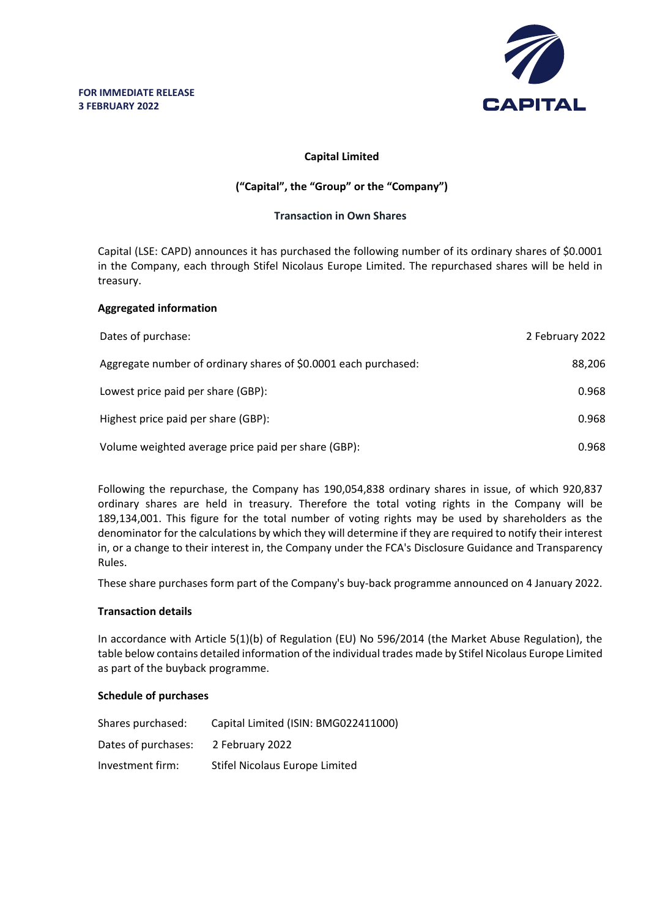

## **Capital Limited**

# **("Capital", the "Group" or the "Company")**

### **Transaction in Own Shares**

Capital (LSE: CAPD) announces it has purchased the following number of its ordinary shares of \$0.0001 in the Company, each through Stifel Nicolaus Europe Limited. The repurchased shares will be held in treasury.

### **Aggregated information**

| Dates of purchase:                                              | 2 February 2022 |
|-----------------------------------------------------------------|-----------------|
| Aggregate number of ordinary shares of \$0.0001 each purchased: | 88,206          |
| Lowest price paid per share (GBP):                              | 0.968           |
| Highest price paid per share (GBP):                             | 0.968           |
| Volume weighted average price paid per share (GBP):             | 0.968           |

Following the repurchase, the Company has 190,054,838 ordinary shares in issue, of which 920,837 ordinary shares are held in treasury. Therefore the total voting rights in the Company will be 189,134,001. This figure for the total number of voting rights may be used by shareholders as the denominator for the calculations by which they will determine if they are required to notify their interest in, or a change to their interest in, the Company under the FCA's Disclosure Guidance and Transparency Rules.

These share purchases form part of the Company's buy-back programme announced on 4 January 2022.

#### **Transaction details**

In accordance with Article 5(1)(b) of Regulation (EU) No 596/2014 (the Market Abuse Regulation), the table below contains detailed information of the individual trades made by Stifel Nicolaus Europe Limited as part of the buyback programme.

#### **Schedule of purchases**

| Shares purchased:   | Capital Limited (ISIN: BMG022411000) |
|---------------------|--------------------------------------|
| Dates of purchases: | 2 February 2022                      |
| Investment firm:    | Stifel Nicolaus Europe Limited       |